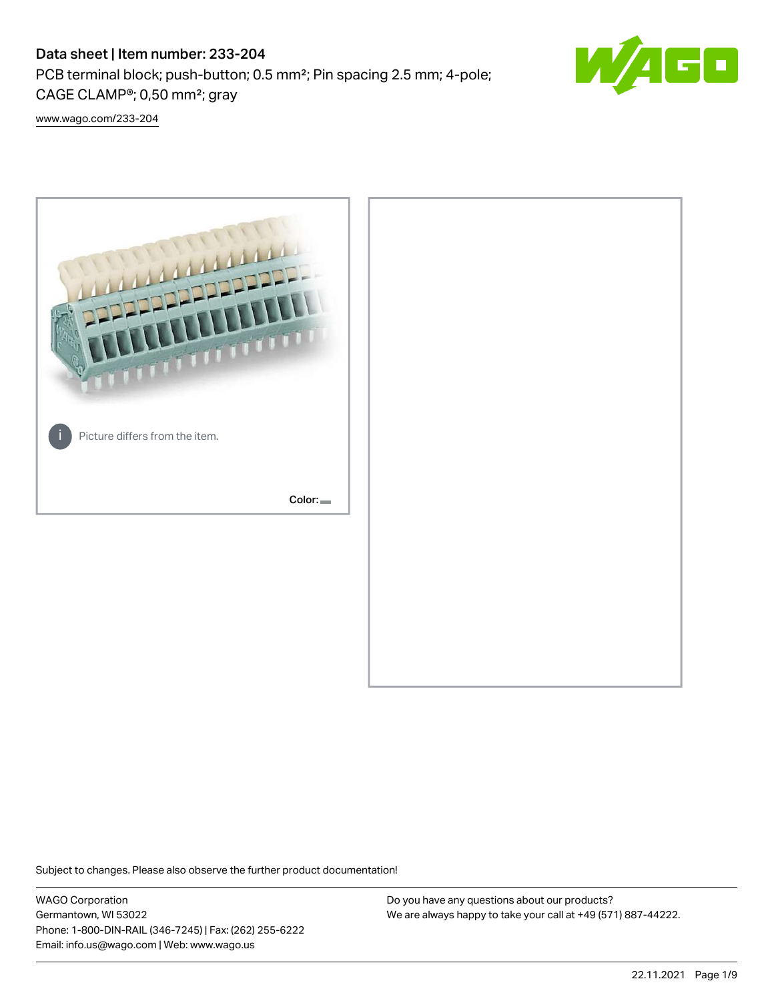# Data sheet | Item number: 233-204

PCB terminal block; push-button; 0.5 mm²; Pin spacing 2.5 mm; 4-pole; CAGE CLAMP®; 0,50 mm²; gray



[www.wago.com/233-204](http://www.wago.com/233-204)



Subject to changes. Please also observe the further product documentation!

WAGO Corporation Germantown, WI 53022 Phone: 1-800-DIN-RAIL (346-7245) | Fax: (262) 255-6222 Email: info.us@wago.com | Web: www.wago.us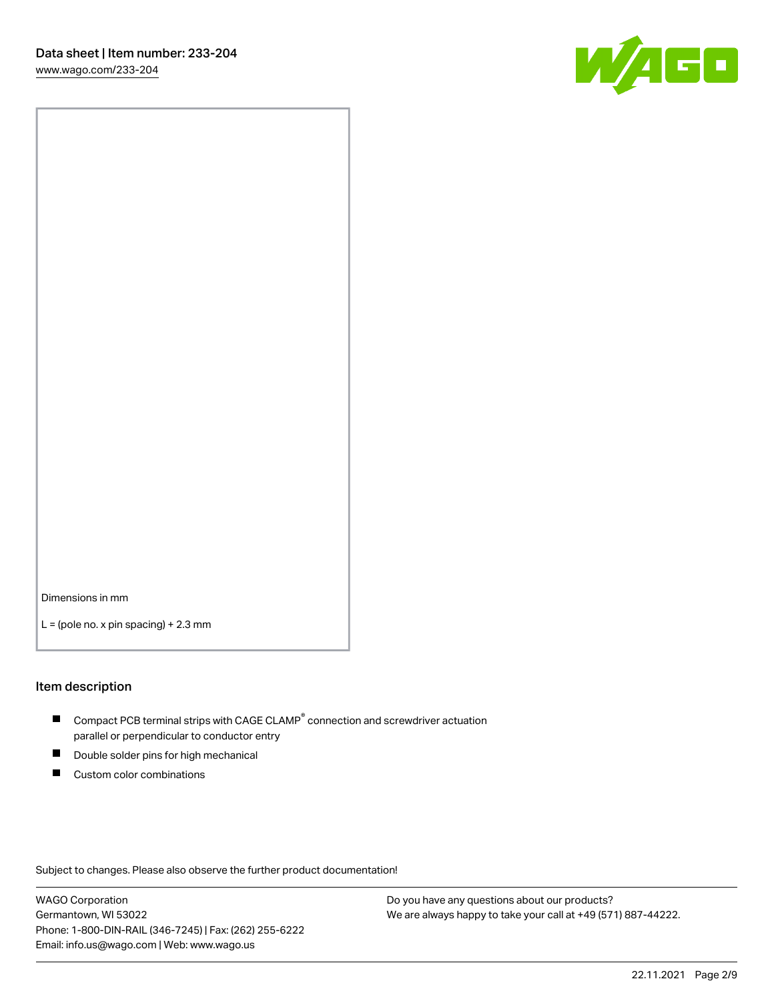

Dimensions in mm

 $L =$  (pole no. x pin spacing) + 2.3 mm

### Item description

- $\blacksquare$  Compact PCB terminal strips with CAGE CLAMP<sup>®</sup> connection and screwdriver actuation parallel or perpendicular to conductor entry
- П Double solder pins for high mechanical
- $\blacksquare$ Custom color combinations

Subject to changes. Please also observe the further product documentation!

WAGO Corporation Germantown, WI 53022 Phone: 1-800-DIN-RAIL (346-7245) | Fax: (262) 255-6222 Email: info.us@wago.com | Web: www.wago.us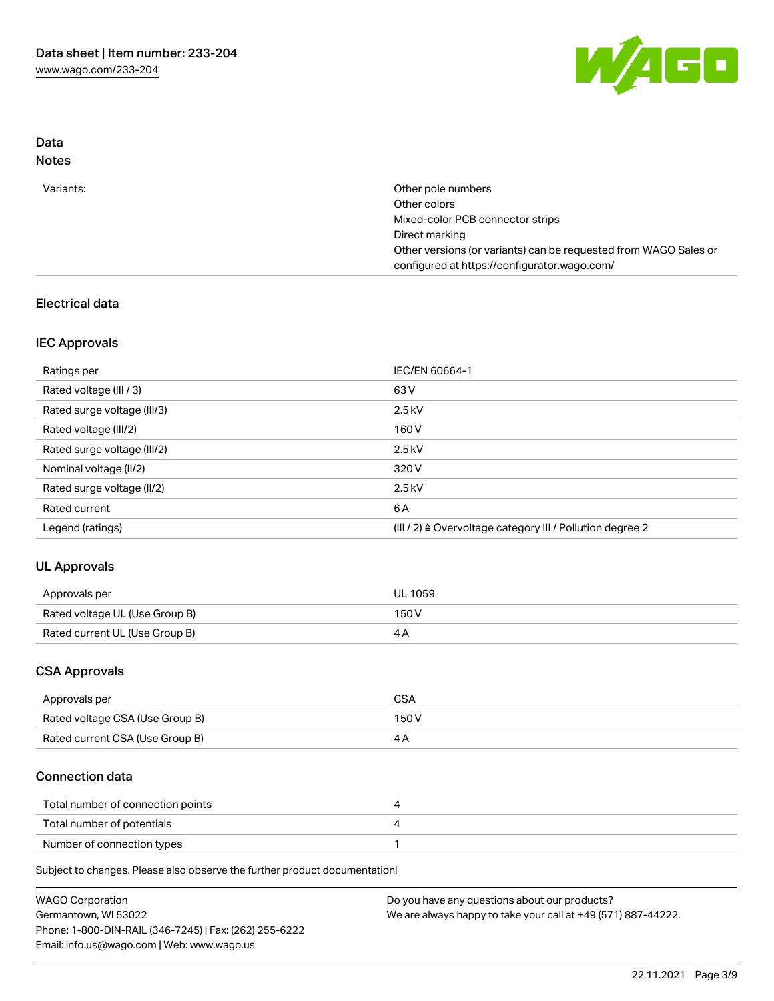

## Data Notes

| Variants: | Other pole numbers                                               |
|-----------|------------------------------------------------------------------|
|           | Other colors                                                     |
|           | Mixed-color PCB connector strips                                 |
|           | Direct marking                                                   |
|           | Other versions (or variants) can be requested from WAGO Sales or |
|           | configured at https://configurator.wago.com/                     |

# Electrical data

# IEC Approvals

| Ratings per                 | IEC/EN 60664-1                                                        |
|-----------------------------|-----------------------------------------------------------------------|
| Rated voltage (III / 3)     | 63 V                                                                  |
| Rated surge voltage (III/3) | $2.5$ kV                                                              |
| Rated voltage (III/2)       | 160 V                                                                 |
| Rated surge voltage (III/2) | $2.5$ kV                                                              |
| Nominal voltage (II/2)      | 320 V                                                                 |
| Rated surge voltage (II/2)  | $2.5$ kV                                                              |
| Rated current               | 6 A                                                                   |
| Legend (ratings)            | $(III / 2)$ $\triangle$ Overvoltage category III / Pollution degree 2 |

# UL Approvals

| Approvals per                  | <b>UL 1059</b> |
|--------------------------------|----------------|
| Rated voltage UL (Use Group B) | 150V           |
| Rated current UL (Use Group B) |                |

## CSA Approvals

| Approvals per                   | CSA   |
|---------------------------------|-------|
| Rated voltage CSA (Use Group B) | 150 V |
| Rated current CSA (Use Group B) |       |

# Connection data

| Total number of connection points |  |
|-----------------------------------|--|
| Total number of potentials        |  |
| Number of connection types        |  |

Subject to changes. Please also observe the further product documentation!

| <b>WAGO Corporation</b>                                | Do you have any questions about our products?                 |
|--------------------------------------------------------|---------------------------------------------------------------|
| Germantown, WI 53022                                   | We are always happy to take your call at +49 (571) 887-44222. |
| Phone: 1-800-DIN-RAIL (346-7245)   Fax: (262) 255-6222 |                                                               |
| Email: info.us@wago.com   Web: www.wago.us             |                                                               |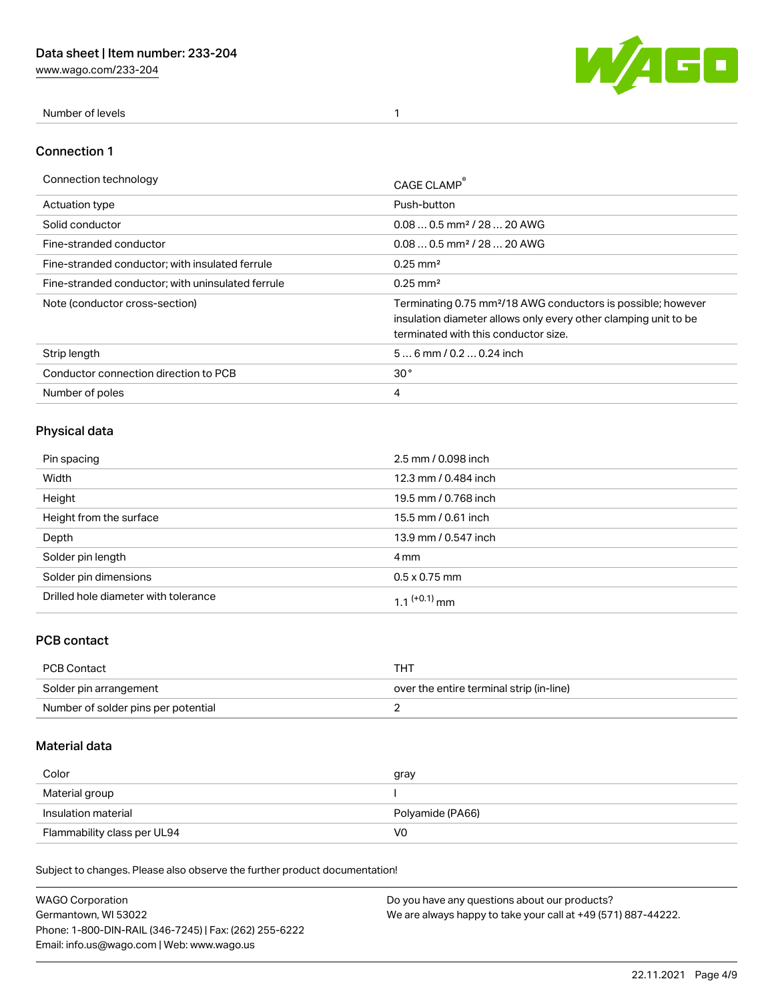[www.wago.com/233-204](http://www.wago.com/233-204)



Number of levels 1

### Connection 1

| Connection technology                             | CAGE CLAMP                                                                                                                                                                          |
|---------------------------------------------------|-------------------------------------------------------------------------------------------------------------------------------------------------------------------------------------|
| Actuation type                                    | Push-button                                                                                                                                                                         |
| Solid conductor                                   | $0.080.5$ mm <sup>2</sup> / 28  20 AWG                                                                                                                                              |
| Fine-stranded conductor                           | $0.080.5$ mm <sup>2</sup> / 28  20 AWG                                                                                                                                              |
| Fine-stranded conductor; with insulated ferrule   | $0.25 \text{ mm}^2$                                                                                                                                                                 |
| Fine-stranded conductor: with uninsulated ferrule | $0.25 \text{ mm}^2$                                                                                                                                                                 |
| Note (conductor cross-section)                    | Terminating 0.75 mm <sup>2</sup> /18 AWG conductors is possible; however<br>insulation diameter allows only every other clamping unit to be<br>terminated with this conductor size. |
| Strip length                                      | $56$ mm $/ 0.20.24$ inch                                                                                                                                                            |
| Conductor connection direction to PCB             | 30 <sup>°</sup>                                                                                                                                                                     |
| Number of poles                                   | 4                                                                                                                                                                                   |

# Physical data

| Pin spacing                          | 2.5 mm / 0.098 inch  |
|--------------------------------------|----------------------|
| Width                                | 12.3 mm / 0.484 inch |
| Height                               | 19.5 mm / 0.768 inch |
| Height from the surface              | 15.5 mm / 0.61 inch  |
| Depth                                | 13.9 mm / 0.547 inch |
| Solder pin length                    | 4 mm                 |
| Solder pin dimensions                | $0.5 \times 0.75$ mm |
| Drilled hole diameter with tolerance | 1 1 $(+0.1)$ mm      |

# PCB contact

| PCB Contact                         | THT                                      |
|-------------------------------------|------------------------------------------|
| Solder pin arrangement              | over the entire terminal strip (in-line) |
| Number of solder pins per potential |                                          |

# Material data

| Color               | gray             |
|---------------------|------------------|
| Material group      |                  |
| Insulation material | Polyamide (PA66) |
|                     |                  |

Subject to changes. Please also observe the further product documentation!

| <b>WAGO Corporation</b>                                | Do you have any questions about our products?                 |
|--------------------------------------------------------|---------------------------------------------------------------|
| Germantown, WI 53022                                   | We are always happy to take your call at +49 (571) 887-44222. |
| Phone: 1-800-DIN-RAIL (346-7245)   Fax: (262) 255-6222 |                                                               |
| Email: info.us@wago.com   Web: www.wago.us             |                                                               |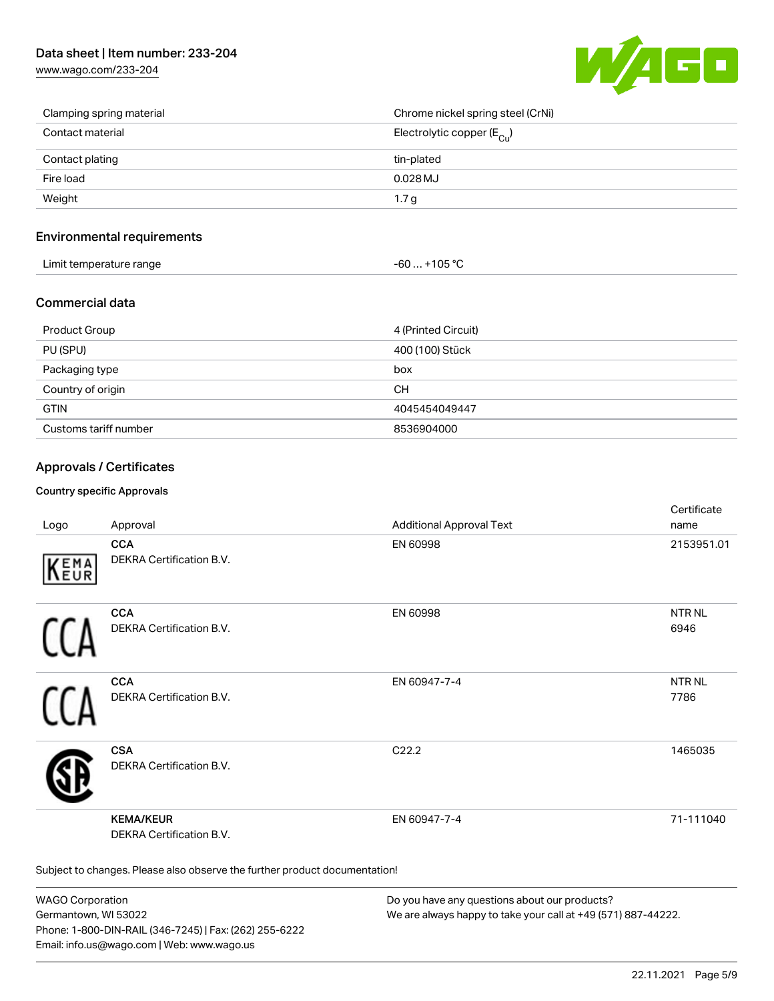# Data sheet | Item number: 233-204

[www.wago.com/233-204](http://www.wago.com/233-204)



| Clamping spring material | Chrome nickel spring steel (CrNi)       |
|--------------------------|-----------------------------------------|
| Contact material         | Electrolytic copper ( $E_{\text{Cu}}$ ) |
| Contact plating          | tin-plated                              |
| Fire load                | $0.028$ MJ                              |
| Weight                   | 1.7 <sub>g</sub>                        |

### Environmental requirements

| Limit temperature range | 1000<br>nos<br>-n |  |
|-------------------------|-------------------|--|
|-------------------------|-------------------|--|

### Commercial data

| Product Group         | 4 (Printed Circuit) |
|-----------------------|---------------------|
| PU (SPU)              | 400 (100) Stück     |
| Packaging type        | box                 |
| Country of origin     | <b>CH</b>           |
| <b>GTIN</b>           | 4045454049447       |
| Customs tariff number | 8536904000          |

### Approvals / Certificates

#### Country specific Approvals

| Logo       | Approval                                                                   | <b>Additional Approval Text</b> | Certificate<br>name       |  |
|------------|----------------------------------------------------------------------------|---------------------------------|---------------------------|--|
| EMA<br>EUR | <b>CCA</b><br>DEKRA Certification B.V.                                     | EN 60998                        | 2153951.01                |  |
|            | <b>CCA</b><br>DEKRA Certification B.V.                                     | EN 60998                        | <b>NTRNL</b><br>6946      |  |
|            | <b>CCA</b><br>DEKRA Certification B.V.                                     | EN 60947-7-4                    | NTR <sub>NL</sub><br>7786 |  |
|            | <b>CSA</b><br>DEKRA Certification B.V.                                     | C22.2                           | 1465035                   |  |
|            | <b>KEMA/KEUR</b><br><b>DEKRA Certification B.V.</b>                        | EN 60947-7-4                    | 71-111040                 |  |
|            | Subject to changes. Please also observe the further product documentation! |                                 |                           |  |

WAGO Corporation Germantown, WI 53022 Phone: 1-800-DIN-RAIL (346-7245) | Fax: (262) 255-6222 Email: info.us@wago.com | Web: www.wago.us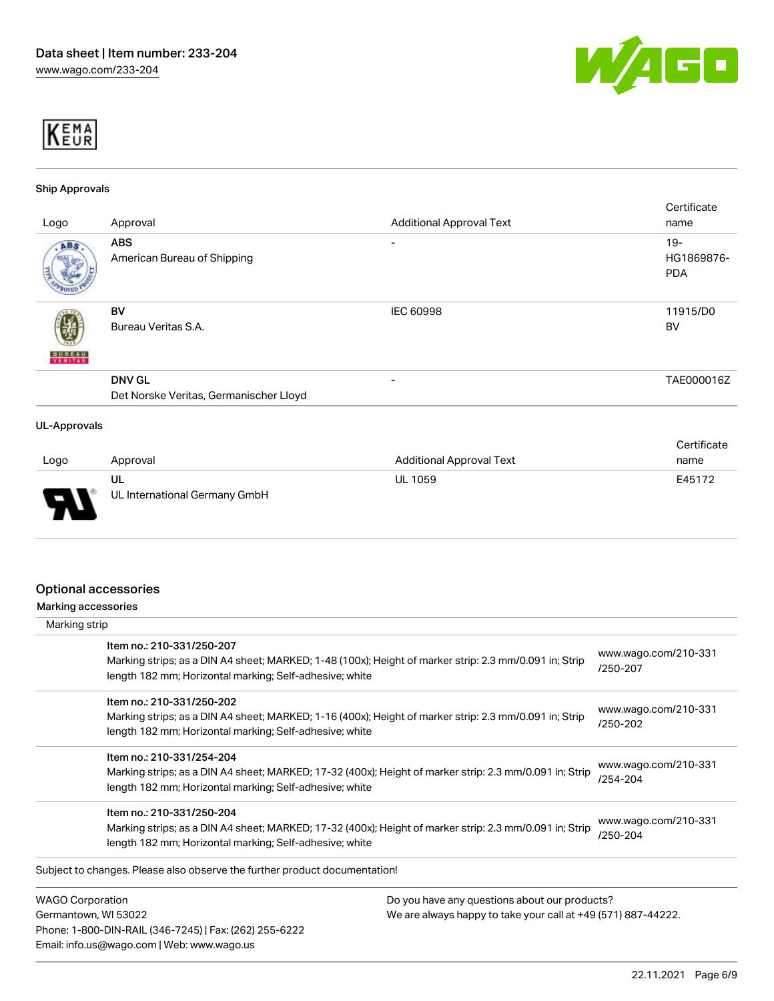



#### Ship Approvals

| Logo                | Approval                                                | <b>Additional Approval Text</b> | Certificate<br>name                |
|---------------------|---------------------------------------------------------|---------------------------------|------------------------------------|
| ABS.                | <b>ABS</b><br>American Bureau of Shipping               | -                               | $19 -$<br>HG1869876-<br><b>PDA</b> |
| <b>BUREAU</b>       | <b>BV</b><br>Bureau Veritas S.A.                        | IEC 60998                       | 11915/D0<br>BV                     |
|                     | <b>DNV GL</b><br>Det Norske Veritas, Germanischer Lloyd | -                               | TAE000016Z                         |
| <b>UL-Approvals</b> |                                                         |                                 | Certificate                        |
|                     | امتحممته ومما                                           | Additional Anneaugh Tout        | $200-220$                          |

| Logo   | Approval                            | <b>Additional Approval Text</b> | name   |
|--------|-------------------------------------|---------------------------------|--------|
| $\Box$ | UL<br>UL International Germany GmbH | <b>UL 1059</b>                  | E45172 |

### Optional accessories

Phone: 1-800-DIN-RAIL (346-7245) | Fax: (262) 255-6222

Email: info.us@wago.com | Web: www.wago.us

Marking accessories

| Marking strip                                                                         |                                                                                                         |                                  |
|---------------------------------------------------------------------------------------|---------------------------------------------------------------------------------------------------------|----------------------------------|
| Item no.: 210-331/250-207<br>length 182 mm; Horizontal marking; Self-adhesive; white  | Marking strips; as a DIN A4 sheet; MARKED; 1-48 (100x); Height of marker strip: 2.3 mm/0.091 in; Strip  | www.wago.com/210-331<br>/250-207 |
| Item no.: 210-331/250-202<br>length 182 mm; Horizontal marking; Self-adhesive; white  | Marking strips; as a DIN A4 sheet; MARKED; 1-16 (400x); Height of marker strip: 2.3 mm/0.091 in; Strip  | www.wago.com/210-331<br>/250-202 |
| Item no.: 210-331/254-204<br>length 182 mm; Horizontal marking; Self-adhesive; white  | Marking strips; as a DIN A4 sheet; MARKED; 17-32 (400x); Height of marker strip: 2.3 mm/0.091 in; Strip | www.wago.com/210-331<br>/254-204 |
| Item no.: 210-331/250-204<br>length 182 mm; Horizontal marking; Self-adhesive; white  | Marking strips; as a DIN A4 sheet; MARKED; 17-32 (400x); Height of marker strip: 2.3 mm/0.091 in; Strip | www.wago.com/210-331<br>/250-204 |
| Subject to changes. Please also observe the further product documentation!            |                                                                                                         |                                  |
| <b>WAGO Corporation</b>                                                               | Do you have any questions about our products?                                                           |                                  |
| Germantown, WI 53022<br>We are always happy to take your call at +49 (571) 887-44222. |                                                                                                         |                                  |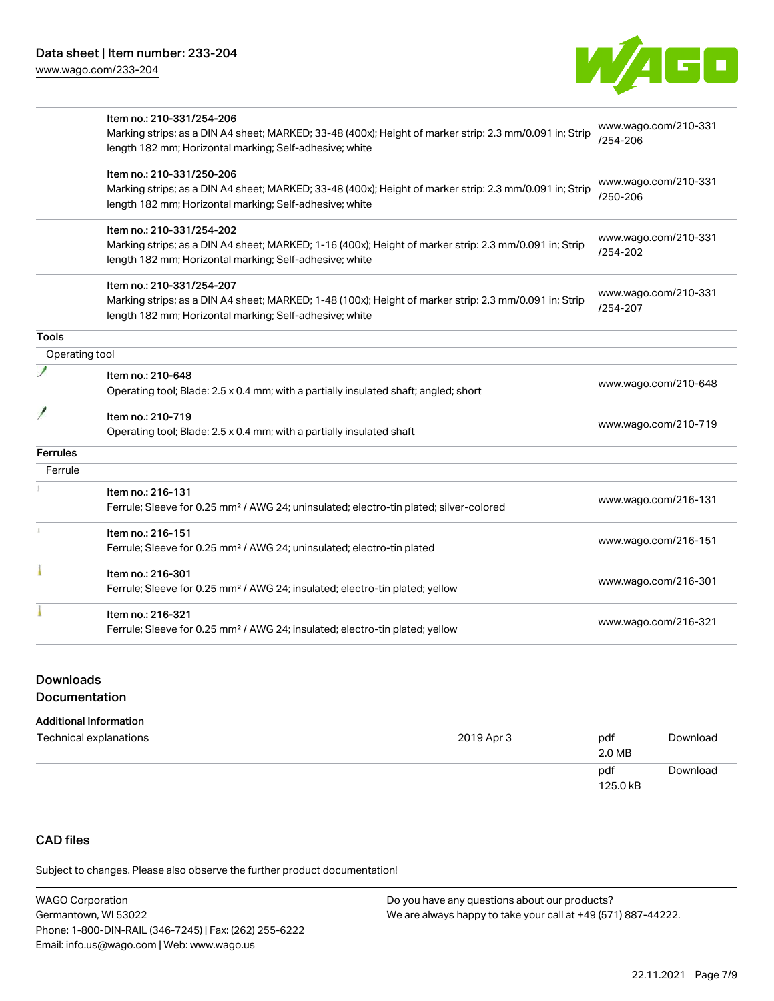

|                 | Item no.: 210-331/254-206                                                                               |                      |
|-----------------|---------------------------------------------------------------------------------------------------------|----------------------|
|                 | Marking strips; as a DIN A4 sheet; MARKED; 33-48 (400x); Height of marker strip: 2.3 mm/0.091 in; Strip | www.wago.com/210-331 |
|                 | length 182 mm; Horizontal marking; Self-adhesive; white                                                 | /254-206             |
|                 | Item no.: 210-331/250-206                                                                               |                      |
|                 | Marking strips; as a DIN A4 sheet; MARKED; 33-48 (400x); Height of marker strip: 2.3 mm/0.091 in; Strip | www.wago.com/210-331 |
|                 | length 182 mm; Horizontal marking; Self-adhesive; white                                                 | /250-206             |
|                 | Item no.: 210-331/254-202                                                                               |                      |
|                 | Marking strips; as a DIN A4 sheet; MARKED; 1-16 (400x); Height of marker strip: 2.3 mm/0.091 in; Strip  | www.wago.com/210-331 |
|                 | length 182 mm; Horizontal marking; Self-adhesive; white                                                 | /254-202             |
|                 | Item no.: 210-331/254-207                                                                               |                      |
|                 | Marking strips; as a DIN A4 sheet; MARKED; 1-48 (100x); Height of marker strip: 2.3 mm/0.091 in; Strip  | www.wago.com/210-331 |
|                 | length 182 mm; Horizontal marking; Self-adhesive; white                                                 | /254-207             |
| <b>Tools</b>    |                                                                                                         |                      |
| Operating tool  |                                                                                                         |                      |
|                 | Item no.: 210-648                                                                                       | www.wago.com/210-648 |
|                 | Operating tool; Blade: 2.5 x 0.4 mm; with a partially insulated shaft; angled; short                    |                      |
|                 | Item no.: 210-719                                                                                       |                      |
|                 | Operating tool; Blade: 2.5 x 0.4 mm; with a partially insulated shaft                                   | www.wago.com/210-719 |
| <b>Ferrules</b> |                                                                                                         |                      |
| Ferrule         |                                                                                                         |                      |
|                 | Item no.: 216-131                                                                                       | www.wago.com/216-131 |
|                 | Ferrule; Sleeve for 0.25 mm <sup>2</sup> / AWG 24; uninsulated; electro-tin plated; silver-colored      |                      |
|                 | Item no.: 216-151                                                                                       |                      |
|                 | Ferrule; Sleeve for 0.25 mm <sup>2</sup> / AWG 24; uninsulated; electro-tin plated                      | www.wago.com/216-151 |
|                 | Item no.: 216-301                                                                                       |                      |
|                 | Ferrule; Sleeve for 0.25 mm <sup>2</sup> / AWG 24; insulated; electro-tin plated; yellow                | www.wago.com/216-301 |
|                 | Item no.: 216-321                                                                                       |                      |
|                 | Ferrule; Sleeve for 0.25 mm <sup>2</sup> / AWG 24; insulated; electro-tin plated; yellow                | www.wago.com/216-321 |

# Downloads

### Documentation

#### Additional Information

| Technical explanations | 2019 Apr 3 | pdf<br>2.0 MB   | Download |
|------------------------|------------|-----------------|----------|
|                        |            | pdf<br>125.0 kB | Download |

# CAD files

Subject to changes. Please also observe the further product documentation!

| <b>WAGO Corporation</b>                                | Do you have any questions about our products?                 |
|--------------------------------------------------------|---------------------------------------------------------------|
| Germantown, WI 53022                                   | We are always happy to take your call at +49 (571) 887-44222. |
| Phone: 1-800-DIN-RAIL (346-7245)   Fax: (262) 255-6222 |                                                               |
| Email: info.us@wago.com   Web: www.wago.us             |                                                               |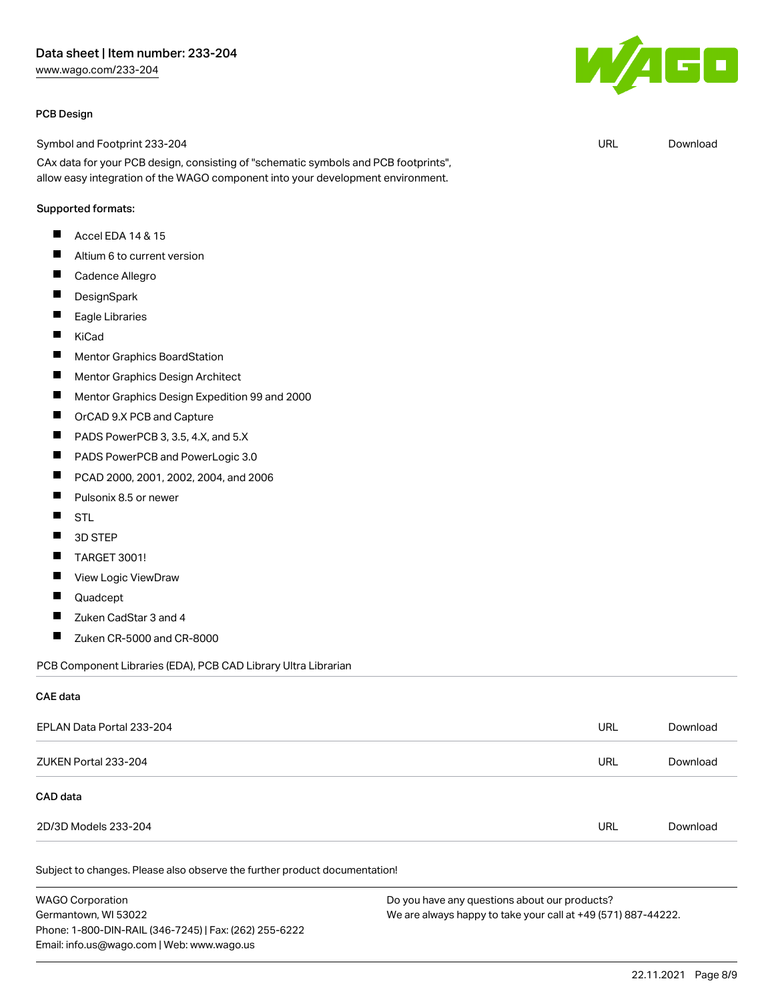## Data sheet | Item number: 233-204

[www.wago.com/233-204](http://www.wago.com/233-204)

#### PCB Design

Symbol and Footprint 233-204

CAx data for your PCB design, consisting of "schematic symbols and PCB footprints", allow easy integration of the WAGO component into your development environment.

#### Supported formats:

- П Accel EDA 14 & 15
- $\blacksquare$ Altium 6 to current version
- $\blacksquare$ Cadence Allegro
- $\blacksquare$ **DesignSpark**
- $\blacksquare$ Eagle Libraries
- $\blacksquare$ KiCad
- $\blacksquare$ Mentor Graphics BoardStation
- $\blacksquare$ Mentor Graphics Design Architect
- $\blacksquare$ Mentor Graphics Design Expedition 99 and 2000
- $\blacksquare$ OrCAD 9.X PCB and Capture
- $\blacksquare$ PADS PowerPCB 3, 3.5, 4.X, and 5.X
- П PADS PowerPCB and PowerLogic 3.0
- П PCAD 2000, 2001, 2002, 2004, and 2006
- $\blacksquare$ Pulsonix 8.5 or newer
- $\blacksquare$ STL
- 3D STEP  $\blacksquare$
- TARGET 3001! П
- П View Logic ViewDraw
- $\blacksquare$ Quadcept
- $\blacksquare$ Zuken CadStar 3 and 4
- $\blacksquare$ Zuken CR-5000 and CR-8000

PCB Component Libraries (EDA), PCB CAD Library Ultra Librarian

#### CAE data

| EPLAN Data Portal 233-204 | URL | Download |
|---------------------------|-----|----------|
| ZUKEN Portal 233-204      | URL | Download |
| CAD data                  |     |          |
| 2D/3D Models 233-204      | URL | Download |
|                           |     |          |

Subject to changes. Please also observe the further product documentation!

WAGO Corporation Germantown, WI 53022 Phone: 1-800-DIN-RAIL (346-7245) | Fax: (262) 255-6222 Email: info.us@wago.com | Web: www.wago.us Do you have any questions about our products? We are always happy to take your call at +49 (571) 887-44222.



URL [Download](https://www.wago.com/global/d/UltraLibrarian_URLS_233-204)